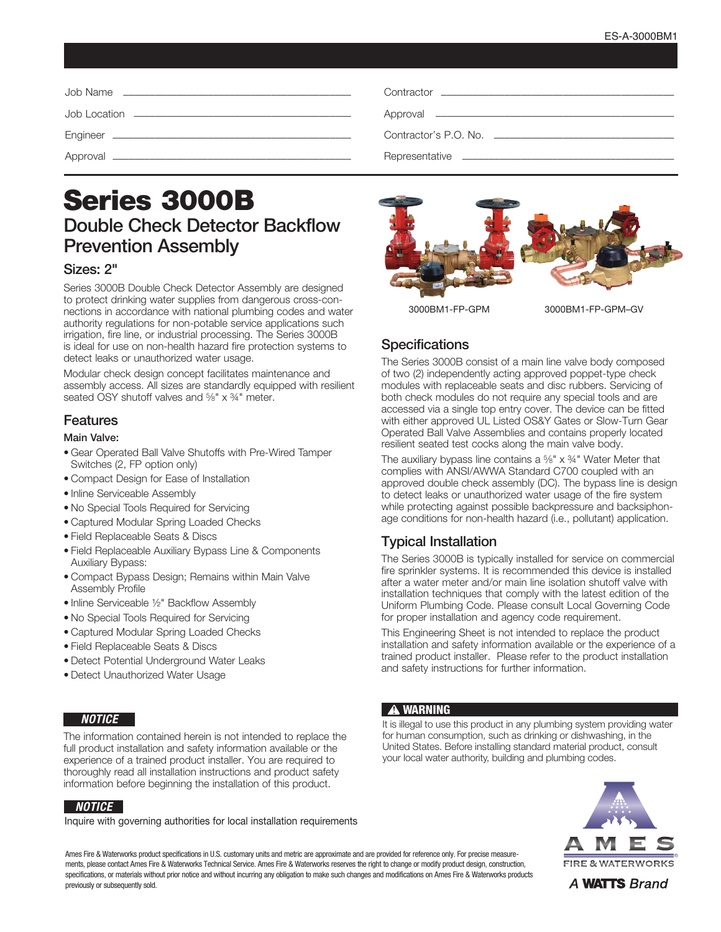# Series 3000B Double Check Detector Backflow Prevention Assembly

## Sizes: 2"

Series 3000B Double Check Detector Assembly are designed to protect drinking water supplies from dangerous cross-connections in accordance with national plumbing codes and water authority regulations for non-potable service applications such irrigation, fire line, or industrial processing. The Series 3000B is ideal for use on non-health hazard fire protection systems to detect leaks or unauthorized water usage.

Modular check design concept facilitates maintenance and assembly access. All sizes are standardly equipped with resilient seated OSY shutoff valves and <sup>5</sup>/8" x 34" meter.

## Features

#### Main Valve:

- Gear Operated Ball Valve Shutoffs with Pre-Wired Tamper Switches (2, FP option only)
- Compact Design for Ease of Installation
- Inline Serviceable Assembly
- No Special Tools Required for Servicing
- Captured Modular Spring Loaded Checks
- Field Replaceable Seats & Discs
- Field Replaceable Auxiliary Bypass Line & Components Auxiliary Bypass:
- Compact Bypass Design; Remains within Main Valve Assembly Profile
- Inline Serviceable ½" Backflow Assembly
- No Special Tools Required for Servicing
- Captured Modular Spring Loaded Checks
- Field Replaceable Seats & Discs
- Detect Potential Underground Water Leaks
- Detect Unauthorized Water Usage

#### *NOTICE*

The information contained herein is not intended to replace the full product installation and safety information available or the experience of a trained product installer. You are required to thoroughly read all installation instructions and product safety information before beginning the installation of this product.

#### *NOTICE*

Inquire with governing authorities for local installation requirements



3000BM1-FP-GPM 3000BM1-FP-GPM–GV

# **Specifications**

The Series 3000B consist of a main line valve body composed of two (2) independently acting approved poppet-type check modules with replaceable seats and disc rubbers. Servicing of both check modules do not require any special tools and are accessed via a single top entry cover. The device can be fitted with either approved UL Listed OS&Y Gates or Slow-Turn Gear Operated Ball Valve Assemblies and contains properly located resilient seated test cocks along the main valve body.

The auxiliary bypass line contains a  $\frac{5}{8}$ " x  $\frac{3}{4}$ " Water Meter that complies with ANSI/AWWA Standard C700 coupled with an approved double check assembly (DC). The bypass line is design to detect leaks or unauthorized water usage of the fire system while protecting against possible backpressure and backsiphonage conditions for non-health hazard (i.e., pollutant) application.

# Typical Installation

The Series 3000B is typically installed for service on commercial fire sprinkler systems. It is recommended this device is installed after a water meter and/or main line isolation shutoff valve with installation techniques that comply with the latest edition of the Uniform Plumbing Code. Please consult Local Governing Code for proper installation and agency code requirement.

This Engineering Sheet is not intended to replace the product installation and safety information available or the experience of a trained product installer. Please refer to the product installation and safety instructions for further information.

#### **!** WARNING

It is illegal to use this product in any plumbing system providing water for human consumption, such as drinking or dishwashing, in the United States. Before installing standard material product, consult your local water authority, building and plumbing codes.



A WATTS Brand

Ames Fire & Waterworks product specifications in U.S. customary units and metric are approximate and are provided for reference only. For precise measurements, please contact Ames Fire & Waterworks Technical Service. Ames Fire & Waterworks reserves the right to change or modify product design, construction, specifications, or materials without prior notice and without incurring any obligation to make such changes and modifications on Ames Fire & Waterworks products previously or subsequently sold.